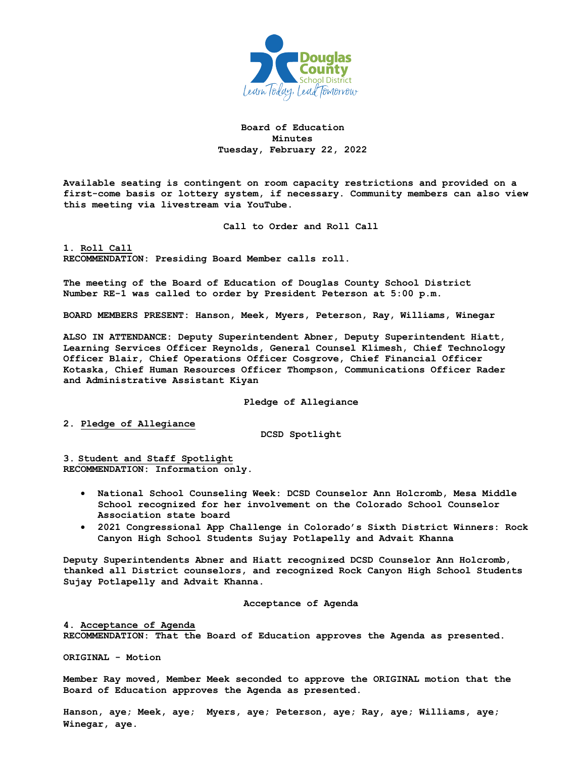

# **Board of Education Minutes Tuesday, February 22, 2022**

**Available seating is contingent on room capacity restrictions and provided on a first-come basis or lottery system, if necessary. Community members can also view this meeting via livestream via YouTube.** 

**Call to Order and Roll Call**

**1. Roll Call RECOMMENDATION: Presiding Board Member calls roll.** 

**The meeting of the Board of Education of Douglas County School District Number RE-1 was called to order by President Peterson at 5:00 p.m.**

**BOARD MEMBERS PRESENT: Hanson, Meek, Myers, Peterson, Ray, Williams, Winegar**

**ALSO IN ATTENDANCE: Deputy Superintendent Abner, Deputy Superintendent Hiatt, Learning Services Officer Reynolds, General Counsel Klimesh, Chief Technology Officer Blair, Chief Operations Officer Cosgrove, Chief Financial Officer Kotaska, Chief Human Resources Officer Thompson, Communications Officer Rader and Administrative Assistant Kiyan**

**Pledge of Allegiance**

**2. Pledge of Allegiance**

**DCSD Spotlight**

**3. Student and Staff Spotlight RECOMMENDATION: Information only.** 

- **National School Counseling Week: DCSD Counselor Ann Holcromb, Mesa Middle School recognized for her involvement on the Colorado School Counselor Association state board**
- **2021 Congressional App Challenge in Colorado's Sixth District Winners: Rock Canyon High School Students Sujay Potlapelly and Advait Khanna**

**Deputy Superintendents Abner and Hiatt recognized DCSD Counselor Ann Holcromb, thanked all District counselors, and recognized Rock Canyon High School Students Sujay Potlapelly and Advait Khanna.**

**Acceptance of Agenda**

**4. Acceptance of Agenda RECOMMENDATION: That the Board of Education approves the Agenda as presented.** 

**ORIGINAL - Motion** 

**Member Ray moved, Member Meek seconded to approve the ORIGINAL motion that the Board of Education approves the Agenda as presented.** 

**Hanson, aye; Meek, aye; Myers, aye; Peterson, aye; Ray, aye; Williams, aye; Winegar, aye.**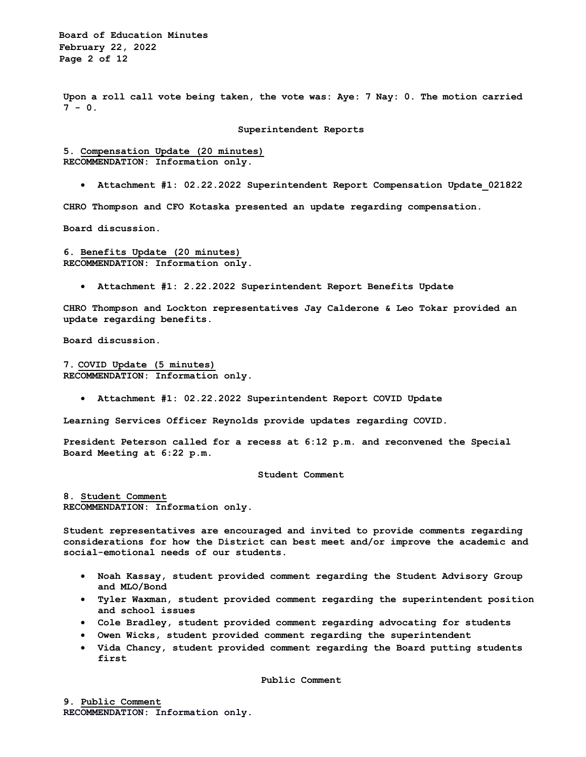**Board of Education Minutes February 22, 2022 Page 2 of 12**

**Upon a roll call vote being taken, the vote was: Aye: 7 Nay: 0. The motion carried 7 - 0.**

#### **Superintendent Reports**

**5. Compensation Update (20 minutes) RECOMMENDATION: Information only.** 

• **Attachment #1: 02.22.2022 Superintendent Report Compensation Update\_021822** 

**CHRO Thompson and CFO Kotaska presented an update regarding compensation.** 

**Board discussion.** 

**6. Benefits Update (20 minutes) RECOMMENDATION: Information only.** 

• **Attachment #1: 2.22.2022 Superintendent Report Benefits Update** 

**CHRO Thompson and Lockton representatives Jay Calderone & Leo Tokar provided an update regarding benefits.** 

**Board discussion.** 

**7. COVID Update (5 minutes) RECOMMENDATION: Information only.**

• **Attachment #1: 02.22.2022 Superintendent Report COVID Update** 

**Learning Services Officer Reynolds provide updates regarding COVID.** 

**President Peterson called for a recess at 6:12 p.m. and reconvened the Special Board Meeting at 6:22 p.m.**

**Student Comment**

**8. Student Comment RECOMMENDATION: Information only.** 

**Student representatives are encouraged and invited to provide comments regarding considerations for how the District can best meet and/or improve the academic and social-emotional needs of our students.** 

- **Noah Kassay, student provided comment regarding the Student Advisory Group and MLO/Bond**
- **Tyler Waxman, student provided comment regarding the superintendent position and school issues**
- **Cole Bradley, student provided comment regarding advocating for students**
- **Owen Wicks, student provided comment regarding the superintendent**
- **Vida Chancy, student provided comment regarding the Board putting students first**

**Public Comment**

**9. Public Comment RECOMMENDATION: Information only.**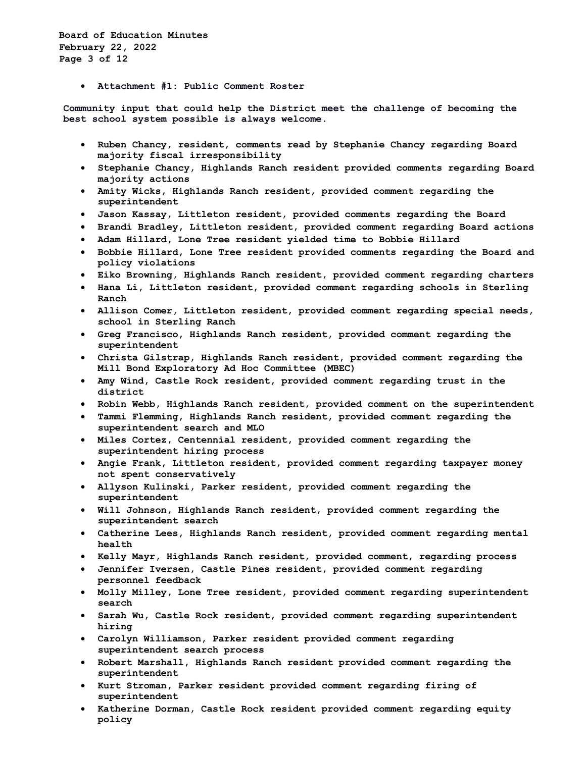**Board of Education Minutes February 22, 2022 Page 3 of 12**

• **Attachment #1: Public Comment Roster**

**Community input that could help the District meet the challenge of becoming the best school system possible is always welcome.**

- **Ruben Chancy, resident, comments read by Stephanie Chancy regarding Board majority fiscal irresponsibility**
- **Stephanie Chancy, Highlands Ranch resident provided comments regarding Board majority actions**
- **Amity Wicks, Highlands Ranch resident, provided comment regarding the superintendent**
- **Jason Kassay, Littleton resident, provided comments regarding the Board**
- **Brandi Bradley, Littleton resident, provided comment regarding Board actions**
- **Adam Hillard, Lone Tree resident yielded time to Bobbie Hillard**
- **Bobbie Hillard, Lone Tree resident provided comments regarding the Board and policy violations**
- **Eiko Browning, Highlands Ranch resident, provided comment regarding charters**
- **Hana Li, Littleton resident, provided comment regarding schools in Sterling Ranch**
- **Allison Comer, Littleton resident, provided comment regarding special needs, school in Sterling Ranch**
- **Greg Francisco, Highlands Ranch resident, provided comment regarding the superintendent**
- **Christa Gilstrap, Highlands Ranch resident, provided comment regarding the Mill Bond Exploratory Ad Hoc Committee (MBEC)**
- **Amy Wind, Castle Rock resident, provided comment regarding trust in the district**
- **Robin Webb, Highlands Ranch resident, provided comment on the superintendent**
- **Tammi Flemming, Highlands Ranch resident, provided comment regarding the superintendent search and MLO**
- **Miles Cortez, Centennial resident, provided comment regarding the superintendent hiring process**
- **Angie Frank, Littleton resident, provided comment regarding taxpayer money not spent conservatively**
- **Allyson Kulinski, Parker resident, provided comment regarding the superintendent**
- **Will Johnson, Highlands Ranch resident, provided comment regarding the superintendent search**
- **Catherine Lees, Highlands Ranch resident, provided comment regarding mental health**
- **Kelly Mayr, Highlands Ranch resident, provided comment, regarding process**
- **Jennifer Iversen, Castle Pines resident, provided comment regarding personnel feedback**
- **Molly Milley, Lone Tree resident, provided comment regarding superintendent search**
- **Sarah Wu, Castle Rock resident, provided comment regarding superintendent hiring**
- **Carolyn Williamson, Parker resident provided comment regarding superintendent search process**
- **Robert Marshall, Highlands Ranch resident provided comment regarding the superintendent**
- **Kurt Stroman, Parker resident provided comment regarding firing of superintendent**
- **Katherine Dorman, Castle Rock resident provided comment regarding equity policy**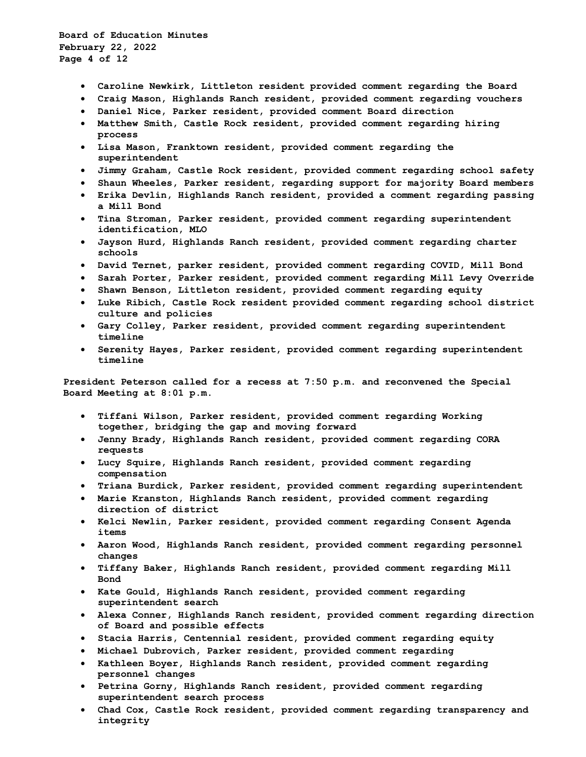**Board of Education Minutes February 22, 2022 Page 4 of 12**

- **Caroline Newkirk, Littleton resident provided comment regarding the Board**
- **Craig Mason, Highlands Ranch resident, provided comment regarding vouchers**
- **Daniel Nice, Parker resident, provided comment Board direction**
- **Matthew Smith, Castle Rock resident, provided comment regarding hiring process**
- **Lisa Mason, Franktown resident, provided comment regarding the superintendent**
- **Jimmy Graham, Castle Rock resident, provided comment regarding school safety**
- **Shaun Wheeles, Parker resident, regarding support for majority Board members**
- **Erika Devlin, Highlands Ranch resident, provided a comment regarding passing a Mill Bond**
- **Tina Stroman, Parker resident, provided comment regarding superintendent identification, MLO**
- **Jayson Hurd, Highlands Ranch resident, provided comment regarding charter schools**
- **David Ternet, parker resident, provided comment regarding COVID, Mill Bond**
- **Sarah Porter, Parker resident, provided comment regarding Mill Levy Override**
- **Shawn Benson, Littleton resident, provided comment regarding equity**
- **Luke Ribich, Castle Rock resident provided comment regarding school district culture and policies**
- **Gary Colley, Parker resident, provided comment regarding superintendent timeline**
- **Serenity Hayes, Parker resident, provided comment regarding superintendent timeline**

**President Peterson called for a recess at 7:50 p.m. and reconvened the Special Board Meeting at 8:01 p.m.**

- **Tiffani Wilson, Parker resident, provided comment regarding Working together, bridging the gap and moving forward**
- **Jenny Brady, Highlands Ranch resident, provided comment regarding CORA requests**
- **Lucy Squire, Highlands Ranch resident, provided comment regarding compensation**
- **Triana Burdick, Parker resident, provided comment regarding superintendent**
- **Marie Kranston, Highlands Ranch resident, provided comment regarding direction of district**
- **Kelci Newlin, Parker resident, provided comment regarding Consent Agenda items**
- **Aaron Wood, Highlands Ranch resident, provided comment regarding personnel changes**
- **Tiffany Baker, Highlands Ranch resident, provided comment regarding Mill Bond**
- **Kate Gould, Highlands Ranch resident, provided comment regarding superintendent search**
- **Alexa Conner, Highlands Ranch resident, provided comment regarding direction of Board and possible effects**
- **Stacia Harris, Centennial resident, provided comment regarding equity**
- **Michael Dubrovich, Parker resident, provided comment regarding**
- **Kathleen Boyer, Highlands Ranch resident, provided comment regarding personnel changes**
- **Petrina Gorny, Highlands Ranch resident, provided comment regarding superintendent search process**
- **Chad Cox, Castle Rock resident, provided comment regarding transparency and integrity**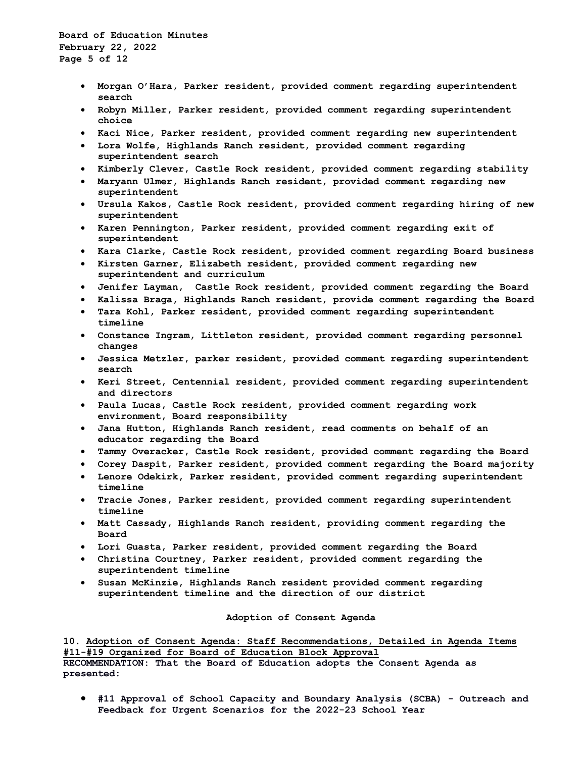**Board of Education Minutes February 22, 2022 Page 5 of 12**

- **Morgan O'Hara, Parker resident, provided comment regarding superintendent search**
- **Robyn Miller, Parker resident, provided comment regarding superintendent choice**
- **Kaci Nice, Parker resident, provided comment regarding new superintendent**
- **Lora Wolfe, Highlands Ranch resident, provided comment regarding superintendent search**
- **Kimberly Clever, Castle Rock resident, provided comment regarding stability**
- **Maryann Ulmer, Highlands Ranch resident, provided comment regarding new superintendent**
- **Ursula Kakos, Castle Rock resident, provided comment regarding hiring of new superintendent**
- **Karen Pennington, Parker resident, provided comment regarding exit of superintendent**
- **Kara Clarke, Castle Rock resident, provided comment regarding Board business**
- **Kirsten Garner, Elizabeth resident, provided comment regarding new superintendent and curriculum**
- **Jenifer Layman, Castle Rock resident, provided comment regarding the Board**
- **Kalissa Braga, Highlands Ranch resident, provide comment regarding the Board**
- **Tara Kohl, Parker resident, provided comment regarding superintendent timeline**
- **Constance Ingram, Littleton resident, provided comment regarding personnel changes**
- **Jessica Metzler, parker resident, provided comment regarding superintendent search**
- **Keri Street, Centennial resident, provided comment regarding superintendent and directors**
- **Paula Lucas, Castle Rock resident, provided comment regarding work environment, Board responsibility**
- **Jana Hutton, Highlands Ranch resident, read comments on behalf of an educator regarding the Board**
- **Tammy Overacker, Castle Rock resident, provided comment regarding the Board**
- **Corey Daspit, Parker resident, provided comment regarding the Board majority**
- **Lenore Odekirk, Parker resident, provided comment regarding superintendent timeline**
- **Tracie Jones, Parker resident, provided comment regarding superintendent timeline**
- **Matt Cassady, Highlands Ranch resident, providing comment regarding the Board**
- **Lori Guasta, Parker resident, provided comment regarding the Board**
- **Christina Courtney, Parker resident, provided comment regarding the superintendent timeline**
- **Susan McKinzie, Highlands Ranch resident provided comment regarding superintendent timeline and the direction of our district**

### **Adoption of Consent Agenda**

**10. Adoption of Consent Agenda: Staff Recommendations, Detailed in Agenda Items #11-#19 Organized for Board of Education Block Approval RECOMMENDATION: That the Board of Education adopts the Consent Agenda as presented:** 

• **#11 Approval of School Capacity and Boundary Analysis (SCBA) - Outreach and Feedback for Urgent Scenarios for the 2022-23 School Year**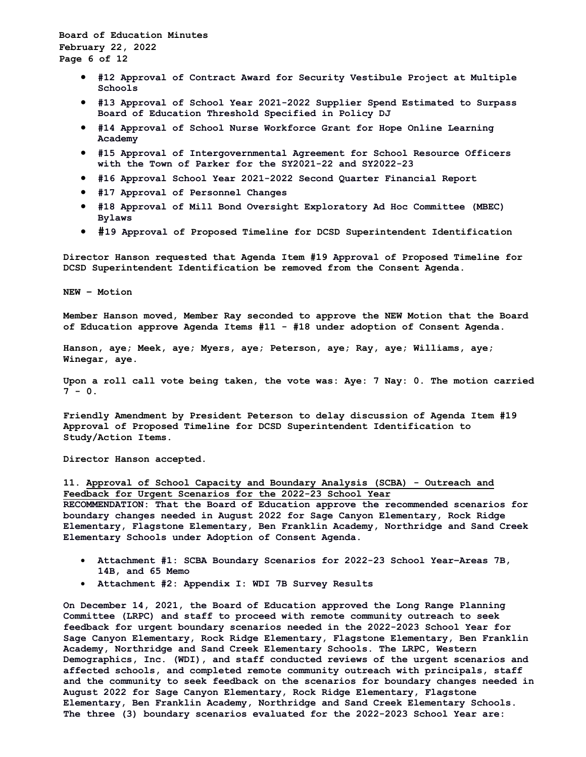**Board of Education Minutes February 22, 2022 Page 6 of 12**

- **#12 Approval of Contract Award for Security Vestibule Project at Multiple Schools**
- **#13 Approval of School Year 2021-2022 Supplier Spend Estimated to Surpass Board of Education Threshold Specified in Policy DJ**
- **#14 Approval of School Nurse Workforce Grant for Hope Online Learning Academy**
- **#15 Approval of Intergovernmental Agreement for School Resource Officers with the Town of Parker for the SY2021-22 and SY2022-23**
- **#16 Approval School Year 2021-2022 Second Quarter Financial Report**
- **#17 Approval of Personnel Changes**
- **#18 Approval of Mill Bond Oversight Exploratory Ad Hoc Committee (MBEC) Bylaws**
- **#19 Approval of Proposed Timeline for DCSD Superintendent Identification**

**Director Hanson requested that Agenda Item #19 Approval of Proposed Timeline for DCSD Superintendent Identification be removed from the Consent Agenda.**

**NEW – Motion**

**Member Hanson moved, Member Ray seconded to approve the NEW Motion that the Board of Education approve Agenda Items #11 - #18 under adoption of Consent Agenda.**

**Hanson, aye; Meek, aye; Myers, aye; Peterson, aye; Ray, aye; Williams, aye; Winegar, aye.** 

**Upon a roll call vote being taken, the vote was: Aye: 7 Nay: 0. The motion carried**   $7 - 0.$ 

**Friendly Amendment by President Peterson to delay discussion of Agenda Item #19 Approval of Proposed Timeline for DCSD Superintendent Identification to Study/Action Items.**

**Director Hanson accepted.**

# **11. Approval of School Capacity and Boundary Analysis (SCBA) - Outreach and Feedback for Urgent Scenarios for the 2022-23 School Year**

**RECOMMENDATION: That the Board of Education approve the recommended scenarios for boundary changes needed in August 2022 for Sage Canyon Elementary, Rock Ridge Elementary, Flagstone Elementary, Ben Franklin Academy, Northridge and Sand Creek Elementary Schools under Adoption of Consent Agenda.**

- **Attachment #1: SCBA Boundary Scenarios for 2022-23 School Year–Areas 7B, 14B, and 65 Memo**
- **Attachment #2: Appendix I: WDI 7B Survey Results**

**On December 14, 2021, the Board of Education approved the Long Range Planning Committee (LRPC) and staff to proceed with remote community outreach to seek feedback for urgent boundary scenarios needed in the 2022-2023 School Year for Sage Canyon Elementary, Rock Ridge Elementary, Flagstone Elementary, Ben Franklin Academy, Northridge and Sand Creek Elementary Schools. The LRPC, Western Demographics, Inc. (WDI), and staff conducted reviews of the urgent scenarios and affected schools, and completed remote community outreach with principals, staff and the community to seek feedback on the scenarios for boundary changes needed in August 2022 for Sage Canyon Elementary, Rock Ridge Elementary, Flagstone Elementary, Ben Franklin Academy, Northridge and Sand Creek Elementary Schools. The three (3) boundary scenarios evaluated for the 2022-2023 School Year are:**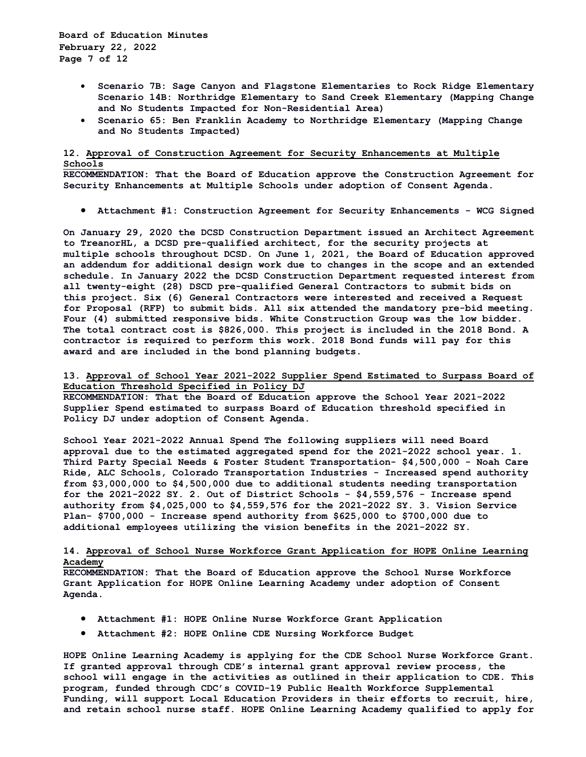**Board of Education Minutes February 22, 2022 Page 7 of 12**

- **Scenario 7B: Sage Canyon and Flagstone Elementaries to Rock Ridge Elementary Scenario 14B: Northridge Elementary to Sand Creek Elementary (Mapping Change and No Students Impacted for Non-Residential Area)**
- **Scenario 65: Ben Franklin Academy to Northridge Elementary (Mapping Change and No Students Impacted)**

# **12. Approval of Construction Agreement for Security Enhancements at Multiple Schools**

**RECOMMENDATION: That the Board of Education approve the Construction Agreement for Security Enhancements at Multiple Schools under adoption of Consent Agenda.**

• **Attachment #1: Construction Agreement for Security Enhancements - WCG Signed**

**On January 29, 2020 the DCSD Construction Department issued an Architect Agreement to TreanorHL, a DCSD pre-qualified architect, for the security projects at multiple schools throughout DCSD. On June 1, 2021, the Board of Education approved an addendum for additional design work due to changes in the scope and an extended schedule. In January 2022 the DCSD Construction Department requested interest from all twenty-eight (28) DSCD pre-qualified General Contractors to submit bids on this project. Six (6) General Contractors were interested and received a Request for Proposal (RFP) to submit bids. All six attended the mandatory pre-bid meeting. Four (4) submitted responsive bids. White Construction Group was the low bidder. The total contract cost is \$826,000. This project is included in the 2018 Bond. A contractor is required to perform this work. 2018 Bond funds will pay for this award and are included in the bond planning budgets.**

## **13. Approval of School Year 2021-2022 Supplier Spend Estimated to Surpass Board of Education Threshold Specified in Policy DJ**

**RECOMMENDATION: That the Board of Education approve the School Year 2021-2022 Supplier Spend estimated to surpass Board of Education threshold specified in Policy DJ under adoption of Consent Agenda.**

**School Year 2021-2022 Annual Spend The following suppliers will need Board approval due to the estimated aggregated spend for the 2021-2022 school year. 1. Third Party Special Needs & Foster Student Transportation- \$4,500,000 - Noah Care Ride, ALC Schools, Colorado Transportation Industries - Increased spend authority from \$3,000,000 to \$4,500,000 due to additional students needing transportation for the 2021-2022 SY. 2. Out of District Schools - \$4,559,576 - Increase spend authority from \$4,025,000 to \$4,559,576 for the 2021-2022 SY. 3. Vision Service Plan- \$700,000 - Increase spend authority from \$625,000 to \$700,000 due to additional employees utilizing the vision benefits in the 2021-2022 SY.**

# **14. Approval of School Nurse Workforce Grant Application for HOPE Online Learning Academy**

**RECOMMENDATION: That the Board of Education approve the School Nurse Workforce Grant Application for HOPE Online Learning Academy under adoption of Consent Agenda.**

- **Attachment #1: HOPE Online Nurse Workforce Grant Application**
- **Attachment #2: HOPE Online CDE Nursing Workforce Budget**

**HOPE Online Learning Academy is applying for the CDE School Nurse Workforce Grant. If granted approval through CDE's internal grant approval review process, the school will engage in the activities as outlined in their application to CDE. This program, funded through CDC's COVID-19 Public Health Workforce Supplemental Funding, will support Local Education Providers in their efforts to recruit, hire, and retain school nurse staff. HOPE Online Learning Academy qualified to apply for**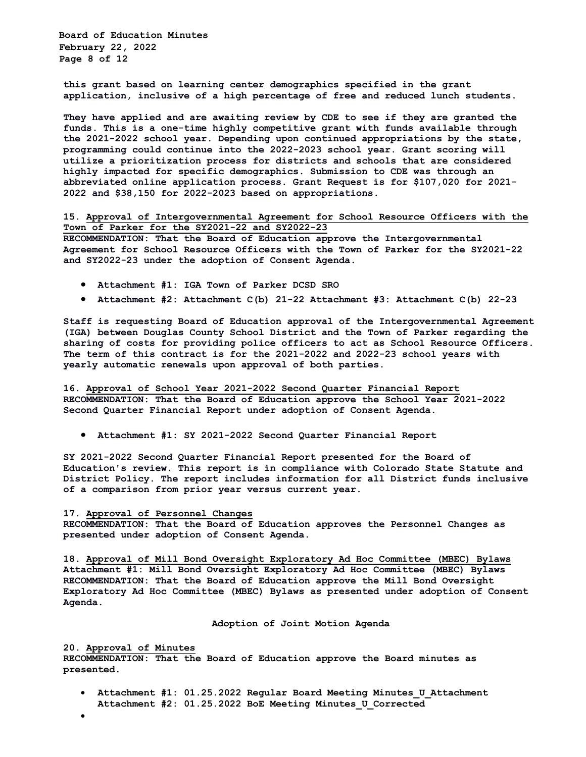**Board of Education Minutes February 22, 2022 Page 8 of 12**

**this grant based on learning center demographics specified in the grant application, inclusive of a high percentage of free and reduced lunch students.** 

**They have applied and are awaiting review by CDE to see if they are granted the funds. This is a one-time highly competitive grant with funds available through the 2021-2022 school year. Depending upon continued appropriations by the state, programming could continue into the 2022-2023 school year. Grant scoring will utilize a prioritization process for districts and schools that are considered highly impacted for specific demographics. Submission to CDE was through an abbreviated online application process. Grant Request is for \$107,020 for 2021- 2022 and \$38,150 for 2022-2023 based on appropriations.**

**15. Approval of Intergovernmental Agreement for School Resource Officers with the Town of Parker for the SY2021-22 and SY2022-23** 

**RECOMMENDATION: That the Board of Education approve the Intergovernmental Agreement for School Resource Officers with the Town of Parker for the SY2021-22 and SY2022-23 under the adoption of Consent Agenda.**

- **Attachment #1: IGA Town of Parker DCSD SRO**
- **Attachment #2: Attachment C(b) 21-22 Attachment #3: Attachment C(b) 22-23**

**Staff is requesting Board of Education approval of the Intergovernmental Agreement (IGA) between Douglas County School District and the Town of Parker regarding the sharing of costs for providing police officers to act as School Resource Officers. The term of this contract is for the 2021-2022 and 2022-23 school years with yearly automatic renewals upon approval of both parties.**

**16. Approval of School Year 2021-2022 Second Quarter Financial Report RECOMMENDATION: That the Board of Education approve the School Year 2021-2022 Second Quarter Financial Report under adoption of Consent Agenda.**

• **Attachment #1: SY 2021-2022 Second Quarter Financial Report**

**SY 2021-2022 Second Quarter Financial Report presented for the Board of Education's review. This report is in compliance with Colorado State Statute and District Policy. The report includes information for all District funds inclusive of a comparison from prior year versus current year.**

### **17. Approval of Personnel Changes**

**RECOMMENDATION: That the Board of Education approves the Personnel Changes as presented under adoption of Consent Agenda.**

**18. Approval of Mill Bond Oversight Exploratory Ad Hoc Committee (MBEC) Bylaws Attachment #1: Mill Bond Oversight Exploratory Ad Hoc Committee (MBEC) Bylaws RECOMMENDATION: That the Board of Education approve the Mill Bond Oversight Exploratory Ad Hoc Committee (MBEC) Bylaws as presented under adoption of Consent Agenda.**

**Adoption of Joint Motion Agenda**

**20. Approval of Minutes RECOMMENDATION: That the Board of Education approve the Board minutes as presented.** 

• **Attachment #1: 01.25.2022 Regular Board Meeting Minutes\_U\_Attachment Attachment #2: 01.25.2022 BoE Meeting Minutes\_U\_Corrected** 

•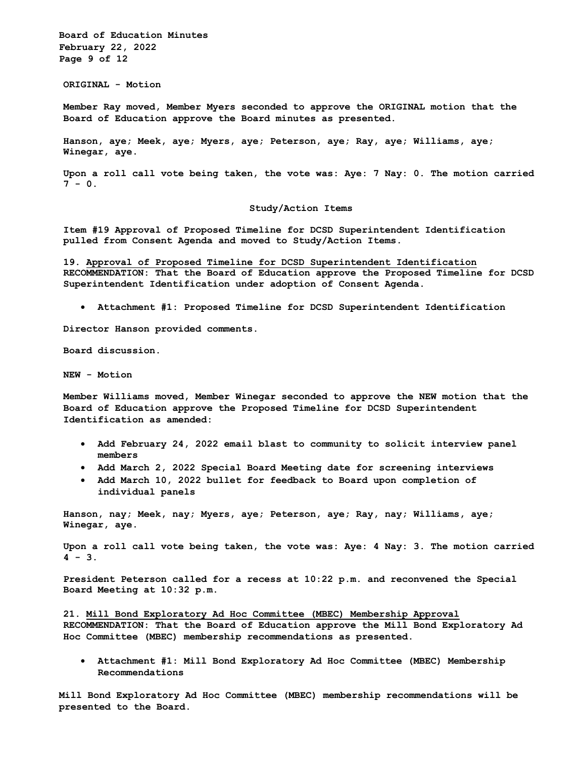**Board of Education Minutes February 22, 2022 Page 9 of 12**

**ORIGINAL - Motion** 

**Member Ray moved, Member Myers seconded to approve the ORIGINAL motion that the Board of Education approve the Board minutes as presented.** 

**Hanson, aye; Meek, aye; Myers, aye; Peterson, aye; Ray, aye; Williams, aye; Winegar, aye.** 

**Upon a roll call vote being taken, the vote was: Aye: 7 Nay: 0. The motion carried 7 - 0.**

### **Study/Action Items**

**Item #19 Approval of Proposed Timeline for DCSD Superintendent Identification pulled from Consent Agenda and moved to Study/Action Items.**

**19. Approval of Proposed Timeline for DCSD Superintendent Identification RECOMMENDATION: That the Board of Education approve the Proposed Timeline for DCSD Superintendent Identification under adoption of Consent Agenda.** 

• **Attachment #1: Proposed Timeline for DCSD Superintendent Identification** 

**Director Hanson provided comments.**

**Board discussion.**

**NEW - Motion** 

**Member Williams moved, Member Winegar seconded to approve the NEW motion that the Board of Education approve the Proposed Timeline for DCSD Superintendent Identification as amended:**

- **Add February 24, 2022 email blast to community to solicit interview panel members**
- **Add March 2, 2022 Special Board Meeting date for screening interviews**
- **Add March 10, 2022 bullet for feedback to Board upon completion of individual panels**

**Hanson, nay; Meek, nay; Myers, aye; Peterson, aye; Ray, nay; Williams, aye; Winegar, aye.** 

**Upon a roll call vote being taken, the vote was: Aye: 4 Nay: 3. The motion carried 4 - 3.**

**President Peterson called for a recess at 10:22 p.m. and reconvened the Special Board Meeting at 10:32 p.m.**

**21. Mill Bond Exploratory Ad Hoc Committee (MBEC) Membership Approval RECOMMENDATION: That the Board of Education approve the Mill Bond Exploratory Ad Hoc Committee (MBEC) membership recommendations as presented.** 

• **Attachment #1: Mill Bond Exploratory Ad Hoc Committee (MBEC) Membership Recommendations**

**Mill Bond Exploratory Ad Hoc Committee (MBEC) membership recommendations will be presented to the Board.**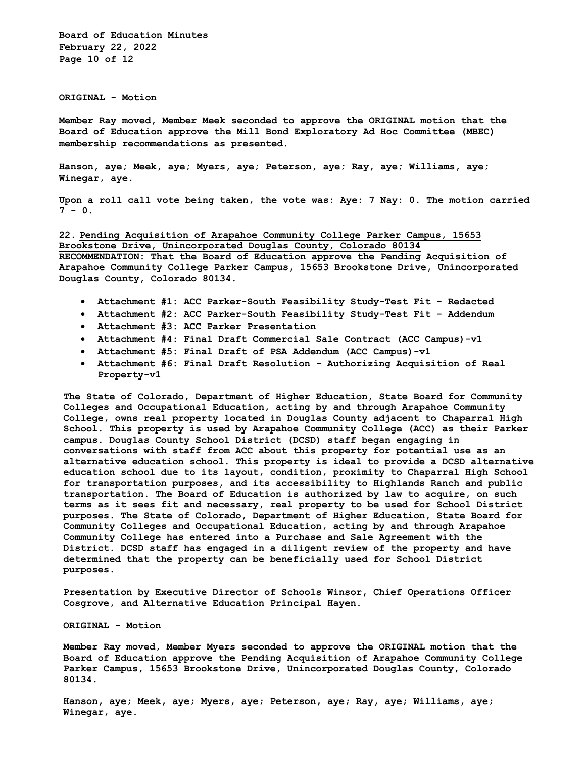**Board of Education Minutes February 22, 2022 Page 10 of 12**

**ORIGINAL - Motion** 

**Member Ray moved, Member Meek seconded to approve the ORIGINAL motion that the Board of Education approve the Mill Bond Exploratory Ad Hoc Committee (MBEC) membership recommendations as presented.** 

**Hanson, aye; Meek, aye; Myers, aye; Peterson, aye; Ray, aye; Williams, aye; Winegar, aye.** 

**Upon a roll call vote being taken, the vote was: Aye: 7 Nay: 0. The motion carried 7 - 0.**

**22. Pending Acquisition of Arapahoe Community College Parker Campus, 15653 Brookstone Drive, Unincorporated Douglas County, Colorado 80134 RECOMMENDATION: That the Board of Education approve the Pending Acquisition of Arapahoe Community College Parker Campus, 15653 Brookstone Drive, Unincorporated Douglas County, Colorado 80134.** 

- **Attachment #1: ACC Parker-South Feasibility Study-Test Fit - Redacted**
- **Attachment #2: ACC Parker-South Feasibility Study-Test Fit - Addendum**
- **Attachment #3: ACC Parker Presentation**
- **Attachment #4: Final Draft Commercial Sale Contract (ACC Campus)-v1**
- **Attachment #5: Final Draft of PSA Addendum (ACC Campus)-v1**
- **Attachment #6: Final Draft Resolution - Authorizing Acquisition of Real Property-v1**

**The State of Colorado, Department of Higher Education, State Board for Community Colleges and Occupational Education, acting by and through Arapahoe Community College, owns real property located in Douglas County adjacent to Chaparral High School. This property is used by Arapahoe Community College (ACC) as their Parker campus. Douglas County School District (DCSD) staff began engaging in conversations with staff from ACC about this property for potential use as an alternative education school. This property is ideal to provide a DCSD alternative education school due to its layout, condition, proximity to Chaparral High School for transportation purposes, and its accessibility to Highlands Ranch and public transportation. The Board of Education is authorized by law to acquire, on such terms as it sees fit and necessary, real property to be used for School District purposes. The State of Colorado, Department of Higher Education, State Board for Community Colleges and Occupational Education, acting by and through Arapahoe Community College has entered into a Purchase and Sale Agreement with the District. DCSD staff has engaged in a diligent review of the property and have determined that the property can be beneficially used for School District purposes.** 

**Presentation by Executive Director of Schools Winsor, Chief Operations Officer Cosgrove, and Alternative Education Principal Hayen.** 

**ORIGINAL - Motion**

**Member Ray moved, Member Myers seconded to approve the ORIGINAL motion that the Board of Education approve the Pending Acquisition of Arapahoe Community College Parker Campus, 15653 Brookstone Drive, Unincorporated Douglas County, Colorado 80134.**

**Hanson, aye; Meek, aye; Myers, aye; Peterson, aye; Ray, aye; Williams, aye; Winegar, aye.**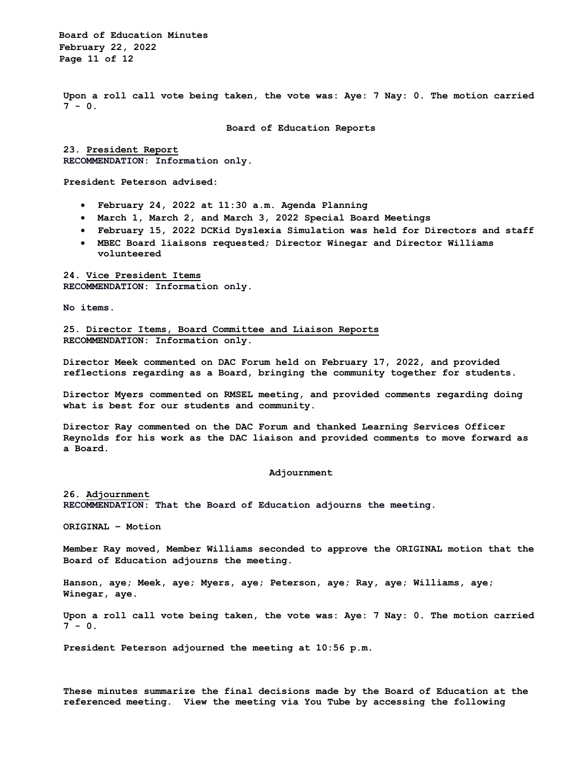**Board of Education Minutes February 22, 2022 Page 11 of 12**

**Upon a roll call vote being taken, the vote was: Aye: 7 Nay: 0. The motion carried 7 - 0.**

**Board of Education Reports**

**23. President Report RECOMMENDATION: Information only.**

**President Peterson advised:**

- **February 24, 2022 at 11:30 a.m. Agenda Planning**
- **March 1, March 2, and March 3, 2022 Special Board Meetings**
- **February 15, 2022 DCKid Dyslexia Simulation was held for Directors and staff**
- **MBEC Board liaisons requested; Director Winegar and Director Williams volunteered**

**24. Vice President Items RECOMMENDATION: Information only.**

**No items.** 

**25. Director Items, Board Committee and Liaison Reports RECOMMENDATION: Information only.**

**Director Meek commented on DAC Forum held on February 17, 2022, and provided reflections regarding as a Board, bringing the community together for students.**

**Director Myers commented on RMSEL meeting, and provided comments regarding doing what is best for our students and community.**

**Director Ray commented on the DAC Forum and thanked Learning Services Officer Reynolds for his work as the DAC liaison and provided comments to move forward as a Board.** 

**Adjournment**

**26. Adjournment RECOMMENDATION: That the Board of Education adjourns the meeting.**

**ORIGINAL – Motion**

**Member Ray moved, Member Williams seconded to approve the ORIGINAL motion that the Board of Education adjourns the meeting.** 

**Hanson, aye; Meek, aye; Myers, aye; Peterson, aye; Ray, aye; Williams, aye; Winegar, aye.** 

**Upon a roll call vote being taken, the vote was: Aye: 7 Nay: 0. The motion carried 7 - 0.**

**President Peterson adjourned the meeting at 10:56 p.m.**

**These minutes summarize the final decisions made by the Board of Education at the referenced meeting. View the meeting via You Tube by accessing the following**